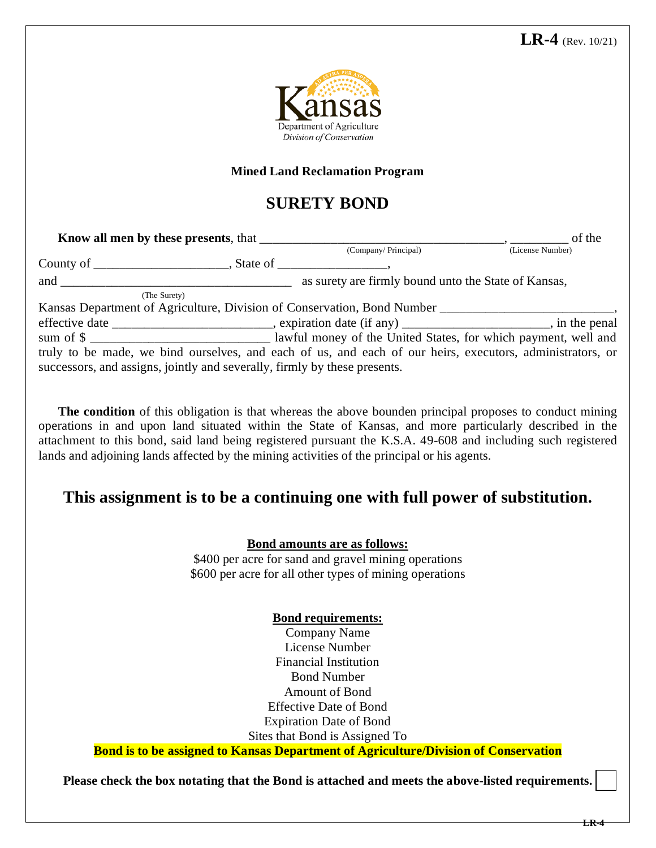

### **Mined Land Reclamation Program**

# **SURETY BOND**

| Know all men by these presents, that                                      |                                                                                                           | of the           |
|---------------------------------------------------------------------------|-----------------------------------------------------------------------------------------------------------|------------------|
|                                                                           | (Company/Principal)                                                                                       | (License Number) |
|                                                                           |                                                                                                           |                  |
| and $\qquad$                                                              | as surety are firmly bound unto the State of Kansas,                                                      |                  |
| (The Surety)                                                              |                                                                                                           |                  |
|                                                                           | Kansas Department of Agriculture, Division of Conservation, Bond Number ____________________________      |                  |
|                                                                           | effective date __________________________, expiration date (if any) _______________________, in the penal |                  |
|                                                                           | sum of \$                                                                                                 |                  |
|                                                                           | truly to be made, we bind ourselves, and each of us, and each of our heirs, executors, administrators, or |                  |
| successors, and assigns, jointly and severally, firmly by these presents. |                                                                                                           |                  |

**The condition** of this obligation is that whereas the above bounden principal proposes to conduct mining operations in and upon land situated within the State of Kansas, and more particularly described in the attachment to this bond, said land being registered pursuant the K.S.A. 49-608 and including such registered lands and adjoining lands affected by the mining activities of the principal or his agents.

## **This assignment is to be a continuing one with full power of substitution.**

#### **Bond amounts are as follows:**

\$400 per acre for sand and gravel mining operations \$600 per acre for all other types of mining operations

### **Bond requirements:**

Company Name License Number Financial Institution Bond Number Amount of Bond Effective Date of Bond Expiration Date of Bond Sites that Bond is Assigned To

**Bond is to be assigned to Kansas Department of Agriculture/Division of Conservation**

**Please check the box notating that the Bond is attached and meets the above-listed requirements.**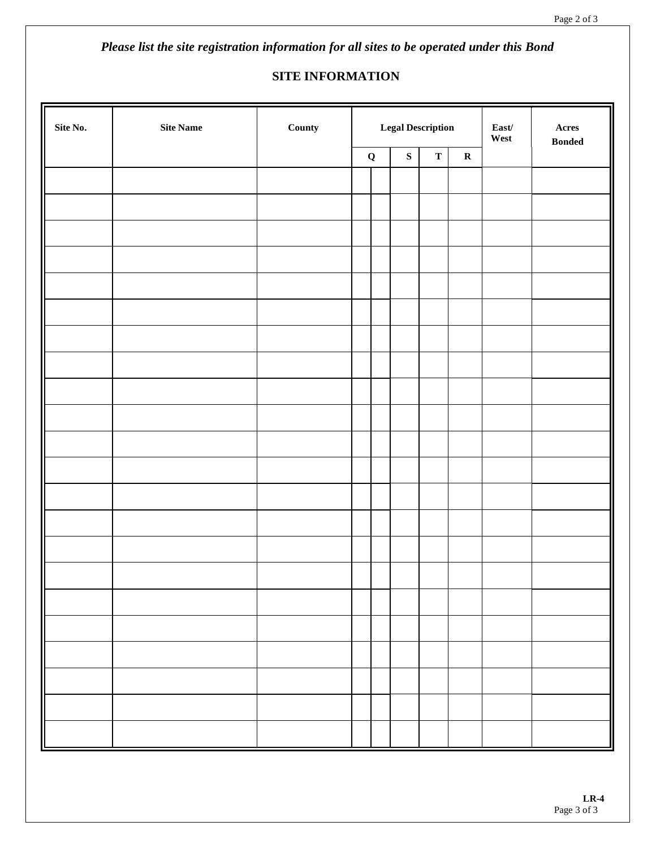*Please list the site registration information for all sites to be operated under this Bond* 

## **SITE INFORMATION**

| Site No. | Site Name | County | <b>Legal Description</b> |  |           |             |             | $\textbf{East}/$<br>West | $\bold{A} \bold{c} \bold{r} \bold{e} \bold{s}$<br>$\boldsymbol{\mathsf{B}}\boldsymbol{\mathsf{onded}}$ |
|----------|-----------|--------|--------------------------|--|-----------|-------------|-------------|--------------------------|--------------------------------------------------------------------------------------------------------|
|          |           |        | $\mathbf Q$              |  | ${\bf S}$ | $\mathbf T$ | $\mathbf R$ |                          |                                                                                                        |
|          |           |        |                          |  |           |             |             |                          |                                                                                                        |
|          |           |        |                          |  |           |             |             |                          |                                                                                                        |
|          |           |        |                          |  |           |             |             |                          |                                                                                                        |
|          |           |        |                          |  |           |             |             |                          |                                                                                                        |
|          |           |        |                          |  |           |             |             |                          |                                                                                                        |
|          |           |        |                          |  |           |             |             |                          |                                                                                                        |
|          |           |        |                          |  |           |             |             |                          |                                                                                                        |
|          |           |        |                          |  |           |             |             |                          |                                                                                                        |
|          |           |        |                          |  |           |             |             |                          |                                                                                                        |
|          |           |        |                          |  |           |             |             |                          |                                                                                                        |
|          |           |        |                          |  |           |             |             |                          |                                                                                                        |
|          |           |        |                          |  |           |             |             |                          |                                                                                                        |
|          |           |        |                          |  |           |             |             |                          |                                                                                                        |
|          |           |        |                          |  |           |             |             |                          |                                                                                                        |
|          |           |        |                          |  |           |             |             |                          |                                                                                                        |
|          |           |        |                          |  |           |             |             |                          |                                                                                                        |
|          |           |        |                          |  |           |             |             |                          |                                                                                                        |
|          |           |        |                          |  |           |             |             |                          |                                                                                                        |
|          |           |        |                          |  |           |             |             |                          |                                                                                                        |
|          |           |        |                          |  |           |             |             |                          |                                                                                                        |
|          |           |        |                          |  |           |             |             |                          |                                                                                                        |
|          |           |        |                          |  |           |             |             |                          |                                                                                                        |
|          |           |        |                          |  |           |             |             |                          |                                                                                                        |
|          |           |        |                          |  |           |             |             |                          |                                                                                                        |
|          |           |        |                          |  |           |             |             |                          |                                                                                                        |
|          |           |        |                          |  |           |             |             |                          |                                                                                                        |